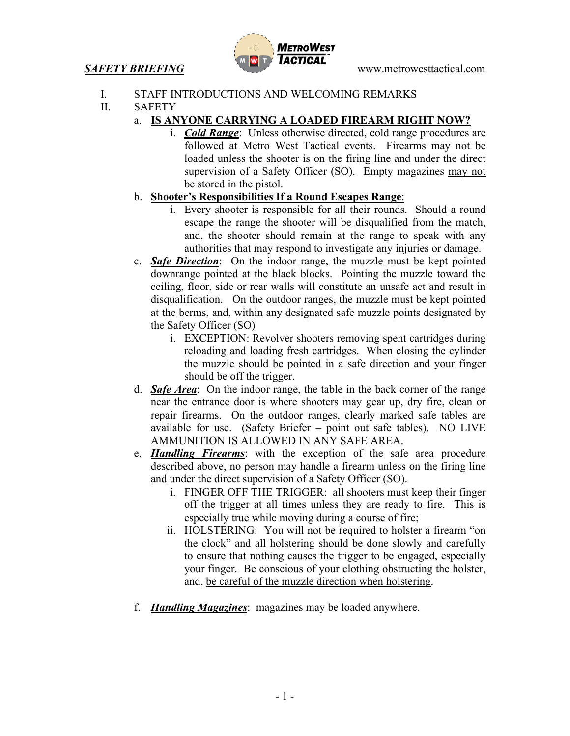

- I. STAFF INTRODUCTIONS AND WELCOMING REMARKS
- II. SAFETY
	- a. **IS ANYONE CARRYING A LOADED FIREARM RIGHT NOW?**
		- i. *Cold Range*: Unless otherwise directed, cold range procedures are followed at Metro West Tactical events. Firearms may not be loaded unless the shooter is on the firing line and under the direct supervision of a Safety Officer (SO). Empty magazines may not be stored in the pistol.
	- b. **Shooter's Responsibilities If a Round Escapes Range**:
		- i. Every shooter is responsible for all their rounds. Should a round escape the range the shooter will be disqualified from the match, and, the shooter should remain at the range to speak with any authorities that may respond to investigate any injuries or damage.
	- c. *Safe Direction*: On the indoor range, the muzzle must be kept pointed downrange pointed at the black blocks. Pointing the muzzle toward the ceiling, floor, side or rear walls will constitute an unsafe act and result in disqualification. On the outdoor ranges, the muzzle must be kept pointed at the berms, and, within any designated safe muzzle points designated by the Safety Officer (SO)
		- i. EXCEPTION: Revolver shooters removing spent cartridges during reloading and loading fresh cartridges. When closing the cylinder the muzzle should be pointed in a safe direction and your finger should be off the trigger.
	- d. *Safe Area*: On the indoor range, the table in the back corner of the range near the entrance door is where shooters may gear up, dry fire, clean or repair firearms. On the outdoor ranges, clearly marked safe tables are available for use. (Safety Briefer – point out safe tables). NO LIVE AMMUNITION IS ALLOWED IN ANY SAFE AREA.
	- e. *Handling Firearms*: with the exception of the safe area procedure described above, no person may handle a firearm unless on the firing line and under the direct supervision of a Safety Officer (SO).
		- i. FINGER OFF THE TRIGGER: all shooters must keep their finger off the trigger at all times unless they are ready to fire. This is especially true while moving during a course of fire;
		- ii. HOLSTERING: You will not be required to holster a firearm "on the clock" and all holstering should be done slowly and carefully to ensure that nothing causes the trigger to be engaged, especially your finger. Be conscious of your clothing obstructing the holster, and, be careful of the muzzle direction when holstering.
	- f. *Handling Magazines*: magazines may be loaded anywhere.